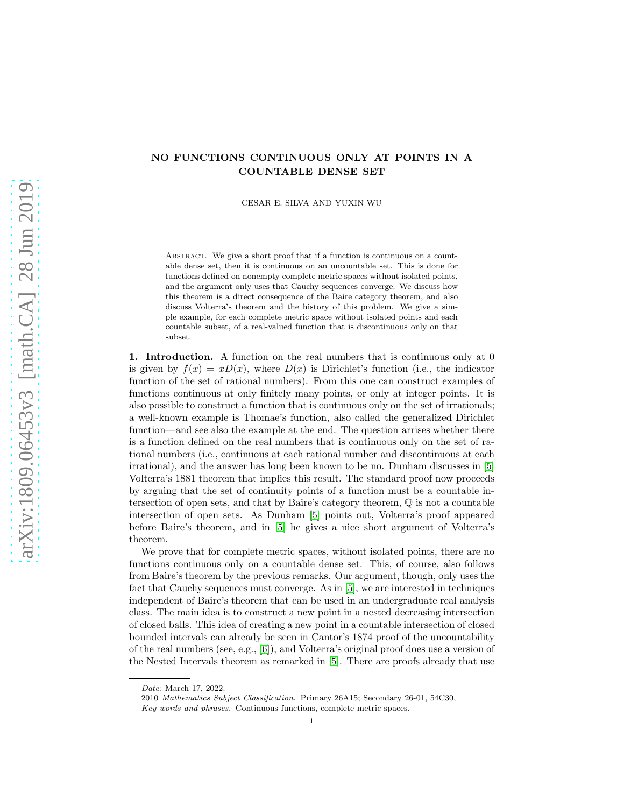# NO FUNCTIONS CONTINUOUS ONLY AT POINTS IN A COUNTABLE DENSE SET

CESAR E. SILVA AND YUXIN WU

ABSTRACT. We give a short proof that if a function is continuous on a countable dense set, then it is continuous on an uncountable set. This is done for functions defined on nonempty complete metric spaces without isolated points, and the argument only uses that Cauchy sequences converge. We discuss how this theorem is a direct consequence of the Baire category theorem, and also discuss Volterra's theorem and the history of this problem. We give a simple example, for each complete metric space without isolated points and each countable subset, of a real-valued function that is discontinuous only on that subset.

1. Introduction. A function on the real numbers that is continuous only at 0 is given by  $f(x) = xD(x)$ , where  $D(x)$  is Dirichlet's function (i.e., the indicator function of the set of rational numbers). From this one can construct examples of functions continuous at only finitely many points, or only at integer points. It is also possible to construct a function that is continuous only on the set of irrationals; a well-known example is Thomae's function, also called the generalized Dirichlet function—and see also the example at the end. The question arrises whether there is a function defined on the real numbers that is continuous only on the set of rational numbers (i.e., continuous at each rational number and discontinuous at each irrational), and the answer has long been known to be no. Dunham discusses in [\[5\]](#page-4-0) Volterra's 1881 theorem that implies this result. The standard proof now proceeds by arguing that the set of continuity points of a function must be a countable intersection of open sets, and that by Baire's category theorem, Q is not a countable intersection of open sets. As Dunham [\[5\]](#page-4-0) points out, Volterra's proof appeared before Baire's theorem, and in [\[5\]](#page-4-0) he gives a nice short argument of Volterra's theorem.

We prove that for complete metric spaces, without isolated points, there are no functions continuous only on a countable dense set. This, of course, also follows from Baire's theorem by the previous remarks. Our argument, though, only uses the fact that Cauchy sequences must converge. As in [\[5\]](#page-4-0), we are interested in techniques independent of Baire's theorem that can be used in an undergraduate real analysis class. The main idea is to construct a new point in a nested decreasing intersection of closed balls. This idea of creating a new point in a countable intersection of closed bounded intervals can already be seen in Cantor's 1874 proof of the uncountability of the real numbers (see, e.g., [\[6\]](#page-4-1)), and Volterra's original proof does use a version of the Nested Intervals theorem as remarked in [\[5\]](#page-4-0). There are proofs already that use

Date: March 17, 2022.

<sup>2010</sup> Mathematics Subject Classification. Primary 26A15; Secondary 26-01, 54C30, Key words and phrases. Continuous functions, complete metric spaces.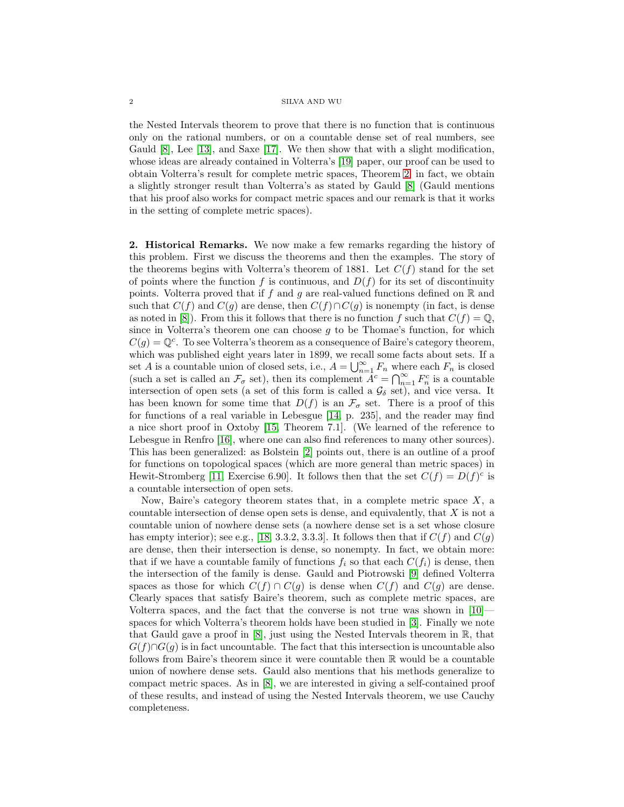#### $2\,$   $\,$   $\,$  SILVA AND WU  $\,$

the Nested Intervals theorem to prove that there is no function that is continuous only on the rational numbers, or on a countable dense set of real numbers, see Gauld [\[8\]](#page-4-2), Lee [\[13\]](#page-5-0), and Saxe [\[17\]](#page-5-1). We then show that with a slight modification, whose ideas are already contained in Volterra's [\[19\]](#page-5-2) paper, our proof can be used to obtain Volterra's result for complete metric spaces, Theorem [2;](#page-3-0) in fact, we obtain a slightly stronger result than Volterra's as stated by Gauld [\[8\]](#page-4-2) (Gauld mentions that his proof also works for compact metric spaces and our remark is that it works in the setting of complete metric spaces).

2. Historical Remarks. We now make a few remarks regarding the history of this problem. First we discuss the theorems and then the examples. The story of the theorems begins with Volterra's theorem of 1881. Let  $C(f)$  stand for the set of points where the function f is continuous, and  $D(f)$  for its set of discontinuity points. Volterra proved that if f and g are real-valued functions defined on  $\mathbb R$  and such that  $C(f)$  and  $C(g)$  are dense, then  $C(f) \cap C(g)$  is nonempty (in fact, is dense as noted in [\[8\]](#page-4-2)). From this it follows that there is no function f such that  $C(f) = \mathbb{Q}$ , since in Volterra's theorem one can choose  $q$  to be Thomae's function, for which  $C(g) = \mathbb{Q}^c$ . To see Volterra's theorem as a consequence of Baire's category theorem, which was published eight years later in 1899, we recall some facts about sets. If a set A is a countable union of closed sets, i.e.,  $A = \bigcup_{n=1}^{\infty} F_n$  where each  $F_n$  is closed (such a set is called an  $\mathcal{F}_{\sigma}$  set), then its complement  $A^{c} = \bigcap_{n=1}^{\infty} F_{n}^{c}$  is a countable intersection of open sets (a set of this form is called a  $\mathcal{G}_{\delta}$  set), and vice versa. It has been known for some time that  $D(f)$  is an  $\mathcal{F}_{\sigma}$  set. There is a proof of this for functions of a real variable in Lebesgue [\[14,](#page-5-3) p. 235], and the reader may find a nice short proof in Oxtoby [\[15,](#page-5-4) Theorem 7.1]. (We learned of the reference to Lebesgue in Renfro [\[16\]](#page-5-5), where one can also find references to many other sources). This has been generalized: as Bolstein [\[2\]](#page-4-3) points out, there is an outline of a proof for functions on topological spaces (which are more general than metric spaces) in Hewit-Stromberg [\[11,](#page-5-6) Exercise 6.90]. It follows then that the set  $C(f) = D(f)^c$  is a countable intersection of open sets.

Now, Baire's category theorem states that, in a complete metric space  $X$ , a countable intersection of dense open sets is dense, and equivalently, that  $X$  is not a countable union of nowhere dense sets (a nowhere dense set is a set whose closure has empty interior); see e.g., [\[18,](#page-5-7) 3.3.2, 3.3.3]. It follows then that if  $C(f)$  and  $C(g)$ are dense, then their intersection is dense, so nonempty. In fact, we obtain more: that if we have a countable family of functions  $f_i$  so that each  $C(f_i)$  is dense, then the intersection of the family is dense. Gauld and Piotrowski [\[9\]](#page-4-4) defined Volterra spaces as those for which  $C(f) \cap C(g)$  is dense when  $C(f)$  and  $C(g)$  are dense. Clearly spaces that satisfy Baire's theorem, such as complete metric spaces, are Volterra spaces, and the fact that the converse is not true was shown in [\[10\]](#page-5-8) spaces for which Volterra's theorem holds have been studied in [\[3\]](#page-4-5). Finally we note that Gauld gave a proof in [\[8\]](#page-4-2), just using the Nested Intervals theorem in R, that  $G(f) \cap G(g)$  is in fact uncountable. The fact that this intersection is uncountable also follows from Baire's theorem since it were countable then R would be a countable union of nowhere dense sets. Gauld also mentions that his methods generalize to compact metric spaces. As in [\[8\]](#page-4-2), we are interested in giving a self-contained proof of these results, and instead of using the Nested Intervals theorem, we use Cauchy completeness.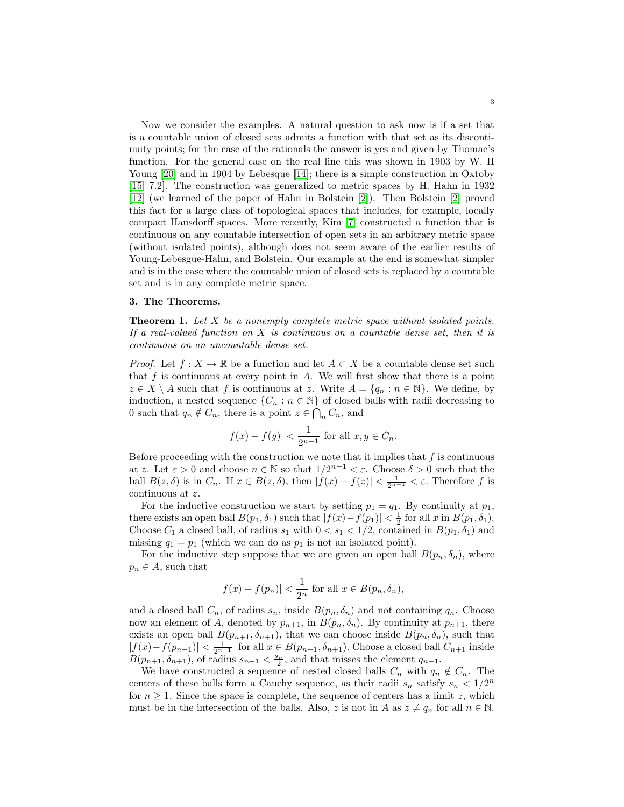Now we consider the examples. A natural question to ask now is if a set that is a countable union of closed sets admits a function with that set as its discontinuity points; for the case of the rationals the answer is yes and given by Thomae's function. For the general case on the real line this was shown in 1903 by W. H Young [\[20\]](#page-5-9) and in 1904 by Lebesque [\[14\]](#page-5-3); there is a simple construction in Oxtoby [\[15,](#page-5-4) 7.2]. The construction was generalized to metric spaces by H. Hahn in 1932 [\[12\]](#page-5-10) (we learned of the paper of Hahn in Bolstein [\[2\]](#page-4-3)). Then Bolstein [\[2\]](#page-4-3) proved this fact for a large class of topological spaces that includes, for example, locally compact Hausdorff spaces. More recently, Kim [\[7\]](#page-4-6) constructed a function that is continuous on any countable intersection of open sets in an arbitrary metric space (without isolated points), although does not seem aware of the earlier results of Young-Lebesgue-Hahn, and Bolstein. Our example at the end is somewhat simpler and is in the case where the countable union of closed sets is replaced by a countable set and is in any complete metric space.

## 3. The Theorems.

<span id="page-2-0"></span>**Theorem 1.** Let  $X$  be a nonempty complete metric space without isolated points. If a real-valued function on  $X$  is continuous on a countable dense set, then it is continuous on an uncountable dense set.

*Proof.* Let  $f: X \to \mathbb{R}$  be a function and let  $A \subset X$  be a countable dense set such that  $f$  is continuous at every point in  $A$ . We will first show that there is a point  $z \in X \setminus A$  such that f is continuous at z. Write  $A = \{q_n : n \in \mathbb{N}\}\$ . We define, by induction, a nested sequence  $\{C_n : n \in \mathbb{N}\}\$  of closed balls with radii decreasing to 0 such that  $q_n \notin C_n$ , there is a point  $z \in \bigcap_n C_n$ , and

$$
|f(x) - f(y)| < \frac{1}{2^{n-1}}
$$
 for all  $x, y \in C_n$ .

Before proceeding with the construction we note that it implies that  $f$  is continuous at z. Let  $\varepsilon > 0$  and choose  $n \in \mathbb{N}$  so that  $1/2^{n-1} < \varepsilon$ . Choose  $\delta > 0$  such that the ball  $B(z, \delta)$  is in  $C_n$ . If  $x \in B(z, \delta)$ , then  $|f(x) - f(z)| < \frac{1}{2^{n-1}} < \varepsilon$ . Therefore f is continuous at z.

For the inductive construction we start by setting  $p_1 = q_1$ . By continuity at  $p_1$ , there exists an open ball  $B(p_1, \delta_1)$  such that  $|f(x) - f(p_1)| < \frac{1}{2}$  for all x in  $B(p_1, \delta_1)$ . Choose  $C_1$  a closed ball, of radius  $s_1$  with  $0 < s_1 < 1/2$ , contained in  $B(p_1, \delta_1)$  and missing  $q_1 = p_1$  (which we can do as  $p_1$  is not an isolated point).

For the inductive step suppose that we are given an open ball  $B(p_n, \delta_n)$ , where  $p_n \in A$ , such that

$$
|f(x) - f(p_n)| < \frac{1}{2^n} \text{ for all } x \in B(p_n, \delta_n),
$$

and a closed ball  $C_n$ , of radius  $s_n$ , inside  $B(p_n, \delta_n)$  and not containing  $q_n$ . Choose now an element of A, denoted by  $p_{n+1}$ , in  $B(p_n, \delta_n)$ . By continuity at  $p_{n+1}$ , there exists an open ball  $B(p_{n+1}, \delta_{n+1})$ , that we can choose inside  $B(p_n, \delta_n)$ , such that  $|f(x)-f(p_{n+1})| < \frac{1}{2^{n+1}}$  for all  $x \in B(p_{n+1}, \delta_{n+1})$ . Choose a closed ball  $C_{n+1}$  inside  $B(p_{n+1}, \delta_{n+1})$ , of radius  $s_{n+1} < \frac{s_n}{2}$ , and that misses the element  $q_{n+1}$ .

We have constructed a sequence of nested closed balls  $C_n$  with  $q_n \notin C_n$ . The centers of these balls form a Cauchy sequence, as their radii  $s_n$  satisfy  $s_n < 1/2^n$ for  $n \geq 1$ . Since the space is complete, the sequence of centers has a limit z, which must be in the intersection of the balls. Also, z is not in A as  $z \neq q_n$  for all  $n \in \mathbb{N}$ .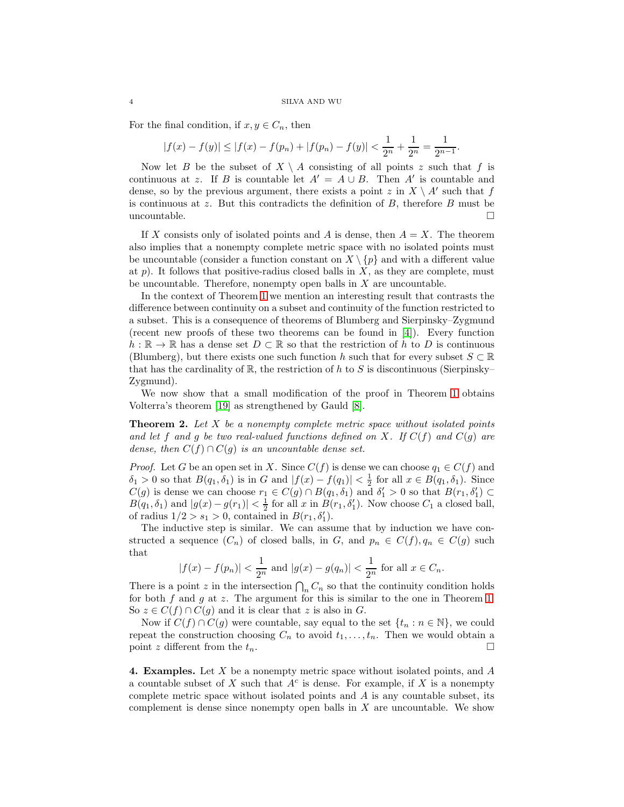For the final condition, if  $x, y \in C_n$ , then

$$
|f(x) - f(y)| \le |f(x) - f(p_n) + |f(p_n) - f(y)| < \frac{1}{2^n} + \frac{1}{2^n} = \frac{1}{2^{n-1}}.
$$

Now let B be the subset of  $X \setminus A$  consisting of all points z such that f is continuous at z. If B is countable let  $A' = A \cup B$ . Then A' is countable and dense, so by the previous argument, there exists a point z in  $X \setminus A'$  such that f is continuous at z. But this contradicts the definition of B, therefore B must be uncountable.  $\Box$ 

If X consists only of isolated points and A is dense, then  $A = X$ . The theorem also implies that a nonempty complete metric space with no isolated points must be uncountable (consider a function constant on  $X \setminus \{p\}$  and with a different value at  $p$ ). It follows that positive-radius closed balls in  $X$ , as they are complete, must be uncountable. Therefore, nonempty open balls in  $X$  are uncountable.

In the context of Theorem [1](#page-2-0) we mention an interesting result that contrasts the difference between continuity on a subset and continuity of the function restricted to a subset. This is a consequence of theorems of Blumberg and Sierpinsky–Zygmund (recent new proofs of these two theorems can be found in [\[4\]](#page-4-7)). Every function  $h : \mathbb{R} \to \mathbb{R}$  has a dense set  $D \subset \mathbb{R}$  so that the restriction of h to D is continuous (Blumberg), but there exists one such function h such that for every subset  $S \subset \mathbb{R}$ that has the cardinality of  $\mathbb{R}$ , the restriction of h to S is discontinuous (Sierpinsky– Zygmund).

We now show that a small modification of the proof in Theorem [1](#page-2-0) obtains Volterra's theorem [\[19\]](#page-5-2) as strengthened by Gauld [\[8\]](#page-4-2).

<span id="page-3-0"></span>**Theorem 2.** Let  $X$  be a nonempty complete metric space without isolated points and let f and g be two real-valued functions defined on X. If  $C(f)$  and  $C(g)$  are dense, then  $C(f) \cap C(g)$  is an uncountable dense set.

*Proof.* Let G be an open set in X. Since  $C(f)$  is dense we can choose  $q_1 \in C(f)$  and  $\delta_1 > 0$  so that  $B(q_1, \delta_1)$  is in G and  $|f(x) - f(q_1)| < \frac{1}{2}$  for all  $x \in B(q_1, \delta_1)$ . Since  $C(g)$  is dense we can choose  $r_1 \in C(g) \cap B(q_1, \delta_1)$  and  $\delta'_1 > 0$  so that  $B(r_1, \delta'_1) \subset$  $B(q_1, \delta_1)$  and  $|g(x) - g(r_1)| < \frac{1}{2}$  for all x in  $B(r_1, \delta'_1)$ . Now choose  $C_1$  a closed ball, of radius  $1/2 > s_1 > 0$ , contained in  $B(r_1, \delta'_1)$ .

The inductive step is similar. We can assume that by induction we have constructed a sequence  $(C_n)$  of closed balls, in G, and  $p_n \in C(f), q_n \in C(g)$  such that

$$
|f(x) - f(p_n)| < \frac{1}{2^n}
$$
 and  $|g(x) - g(q_n)| < \frac{1}{2^n}$  for all  $x \in C_n$ .

There is a point z in the intersection  $\bigcap_n C_n$  so that the continuity condition holds for both f and g at z. The argument for this is similar to the one in Theorem [1.](#page-2-0) So  $z \in C(f) \cap C(g)$  and it is clear that z is also in G.

Now if  $C(f) \cap C(g)$  were countable, say equal to the set  $\{t_n : n \in \mathbb{N}\}\)$ , we could repeat the construction choosing  $C_n$  to avoid  $t_1, \ldots, t_n$ . Then we would obtain a point z different from the  $t_n$ .

**4. Examples.** Let  $X$  be a nonempty metric space without isolated points, and  $A$ a countable subset of X such that  $A<sup>c</sup>$  is dense. For example, if X is a nonempty complete metric space without isolated points and  $\tilde{A}$  is any countable subset, its complement is dense since nonempty open balls in  $X$  are uncountable. We show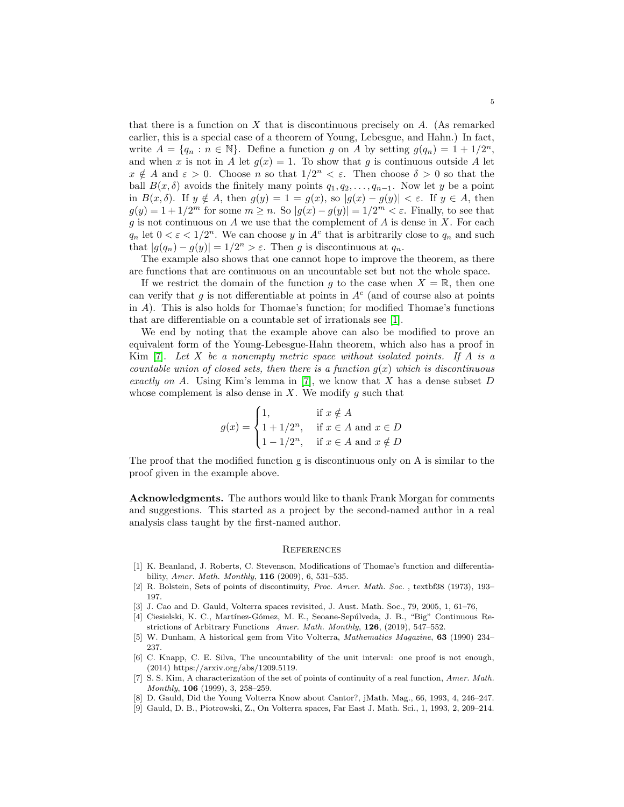that there is a function on X that is discontinuous precisely on  $A$ . (As remarked earlier, this is a special case of a theorem of Young, Lebesgue, and Hahn.) In fact, write  $A = \{q_n : n \in \mathbb{N}\}\$ . Define a function g on A by setting  $g(q_n) = 1 + 1/2^n$ , and when x is not in A let  $g(x) = 1$ . To show that g is continuous outside A let  $x \notin A$  and  $\varepsilon > 0$ . Choose n so that  $1/2^n < \varepsilon$ . Then choose  $\delta > 0$  so that the ball  $B(x, \delta)$  avoids the finitely many points  $q_1, q_2, \ldots, q_{n-1}$ . Now let y be a point in  $B(x, \delta)$ . If  $y \notin A$ , then  $g(y) = 1 = g(x)$ , so  $|g(x) - g(y)| < \varepsilon$ . If  $y \in A$ , then  $g(y) = 1 + 1/2^m$  for some  $m \ge n$ . So  $|g(x) - g(y)| = 1/2^m < \varepsilon$ . Finally, to see that g is not continuous on A we use that the complement of A is dense in X. For each  $q_n$  let  $0 < \varepsilon < 1/2^n$ . We can choose y in  $A^c$  that is arbitrarily close to  $q_n$  and such that  $|g(q_n) - g(y)| = 1/2^n > \varepsilon$ . Then g is discontinuous at  $q_n$ .

The example also shows that one cannot hope to improve the theorem, as there are functions that are continuous on an uncountable set but not the whole space.

If we restrict the domain of the function g to the case when  $X = \mathbb{R}$ , then one can verify that  $g$  is not differentiable at points in  $A<sup>c</sup>$  (and of course also at points in A). This is also holds for Thomae's function; for modified Thomae's functions that are differentiable on a countable set of irrationals see [\[1\]](#page-4-8).

We end by noting that the example above can also be modified to prove an equivalent form of the Young-Lebesgue-Hahn theorem, which also has a proof in Kim  $[7]$ . Let X be a nonempty metric space without isolated points. If A is a countable union of closed sets, then there is a function  $g(x)$  which is discontinuous exactly on A. Using Kim's lemma in [\[7\]](#page-4-6), we know that  $X$  has a dense subset  $D$ whose complement is also dense in  $X$ . We modify  $g$  such that

$$
g(x) = \begin{cases} 1, & \text{if } x \notin A \\ 1 + 1/2^n, & \text{if } x \in A \text{ and } x \in D \\ 1 - 1/2^n, & \text{if } x \in A \text{ and } x \notin D \end{cases}
$$

The proof that the modified function g is discontinuous only on A is similar to the proof given in the example above.

Acknowledgments. The authors would like to thank Frank Morgan for comments and suggestions. This started as a project by the second-named author in a real analysis class taught by the first-named author.

### **REFERENCES**

- <span id="page-4-8"></span>[1] K. Beanland, J. Roberts, C. Stevenson, Modifications of Thomae's function and differentiability, Amer. Math. Monthly, 116 (2009), 6, 531–535.
- <span id="page-4-5"></span><span id="page-4-3"></span>[2] R. Bolstein, Sets of points of discontinuity, Proc. Amer. Math. Soc., textbf38 (1973), 193– 197.
- <span id="page-4-7"></span>[3] J. Cao and D. Gauld, Volterra spaces revisited, J. Aust. Math. Soc., 79, 2005, 1, 61–76,
- [4] Ciesielski, K. C., Mart´ınez-G´omez, M. E., Seoane-Sep´ulveda, J. B., "Big" Continuous Restrictions of Arbitrary Functions Amer. Math. Monthly, 126, (2019), 547–552.
- <span id="page-4-0"></span>[5] W. Dunham, A historical gem from Vito Volterra, Mathematics Magazine, 63 (1990) 234– 237.
- <span id="page-4-1"></span>[6] C. Knapp, C. E. Silva, The uncountability of the unit interval: one proof is not enough, (2014) https://arxiv.org/abs/1209.5119.
- <span id="page-4-6"></span>[7] S. S. Kim, A characterization of the set of points of continuity of a real function, Amer. Math. Monthly, 106 (1999), 3, 258–259.
- <span id="page-4-4"></span><span id="page-4-2"></span>[8] D. Gauld, Did the Young Volterra Know about Cantor?, jMath. Mag., 66, 1993, 4, 246–247.
- [9] Gauld, D. B., Piotrowski, Z., On Volterra spaces, Far East J. Math. Sci., 1, 1993, 2, 209–214.